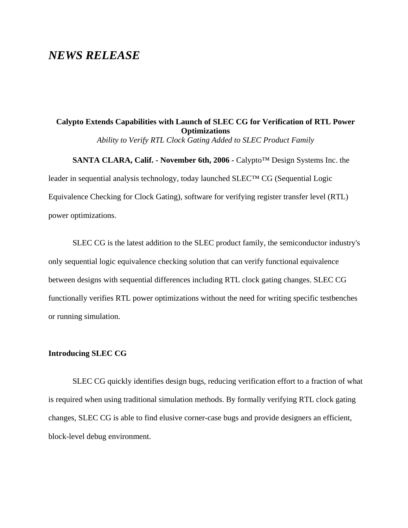# *NEWS RELEASE*

# **Calypto Extends Capabilities with Launch of SLEC CG for Verification of RTL Power Optimizations**

*Ability to Verify RTL Clock Gating Added to SLEC Product Family*

**SANTA CLARA, Calif. - November 6th, 2006 -** Calypto™ Design Systems Inc. the leader in sequential analysis technology, today launched SLEC™ CG (Sequential Logic Equivalence Checking for Clock Gating), software for verifying register transfer level (RTL) power optimizations.

SLEC CG is the latest addition to the SLEC product family, the semiconductor industry's only sequential logic equivalence checking solution that can verify functional equivalence between designs with sequential differences including RTL clock gating changes. SLEC CG functionally verifies RTL power optimizations without the need for writing specific testbenches or running simulation.

### **Introducing SLEC CG**

SLEC CG quickly identifies design bugs, reducing verification effort to a fraction of what is required when using traditional simulation methods. By formally verifying RTL clock gating changes, SLEC CG is able to find elusive corner-case bugs and provide designers an efficient, block-level debug environment.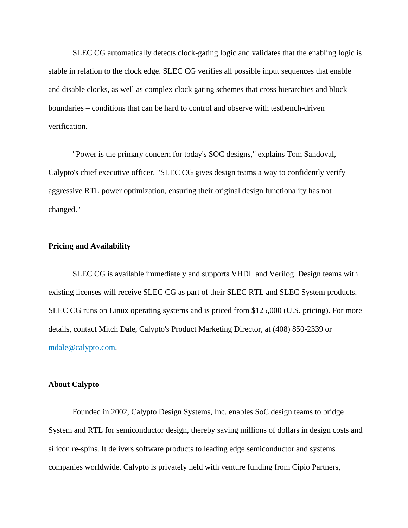SLEC CG automatically detects clock-gating logic and validates that the enabling logic is stable in relation to the clock edge. SLEC CG verifies all possible input sequences that enable and disable clocks, as well as complex clock gating schemes that cross hierarchies and block boundaries – conditions that can be hard to control and observe with testbench-driven verification.

"Power is the primary concern for today's SOC designs," explains Tom Sandoval, Calypto's chief executive officer. "SLEC CG gives design teams a way to confidently verify aggressive RTL power optimization, ensuring their original design functionality has not changed."

#### **Pricing and Availability**

SLEC CG is available immediately and supports VHDL and Verilog. Design teams with existing licenses will receive SLEC CG as part of their SLEC RTL and SLEC System products. SLEC CG runs on Linux operating systems and is priced from \$125,000 (U.S. pricing). For more details, contact Mitch Dale, Calypto's Product Marketing Director, at (408) 850-2339 or [mdale@calypto.com.](mailto:mdale@calypto.com)

### **About Calypto**

Founded in 2002, Calypto Design Systems, Inc. enables SoC design teams to bridge System and RTL for semiconductor design, thereby saving millions of dollars in design costs and silicon re-spins. It delivers software products to leading edge semiconductor and systems companies worldwide. Calypto is privately held with venture funding from Cipio Partners,